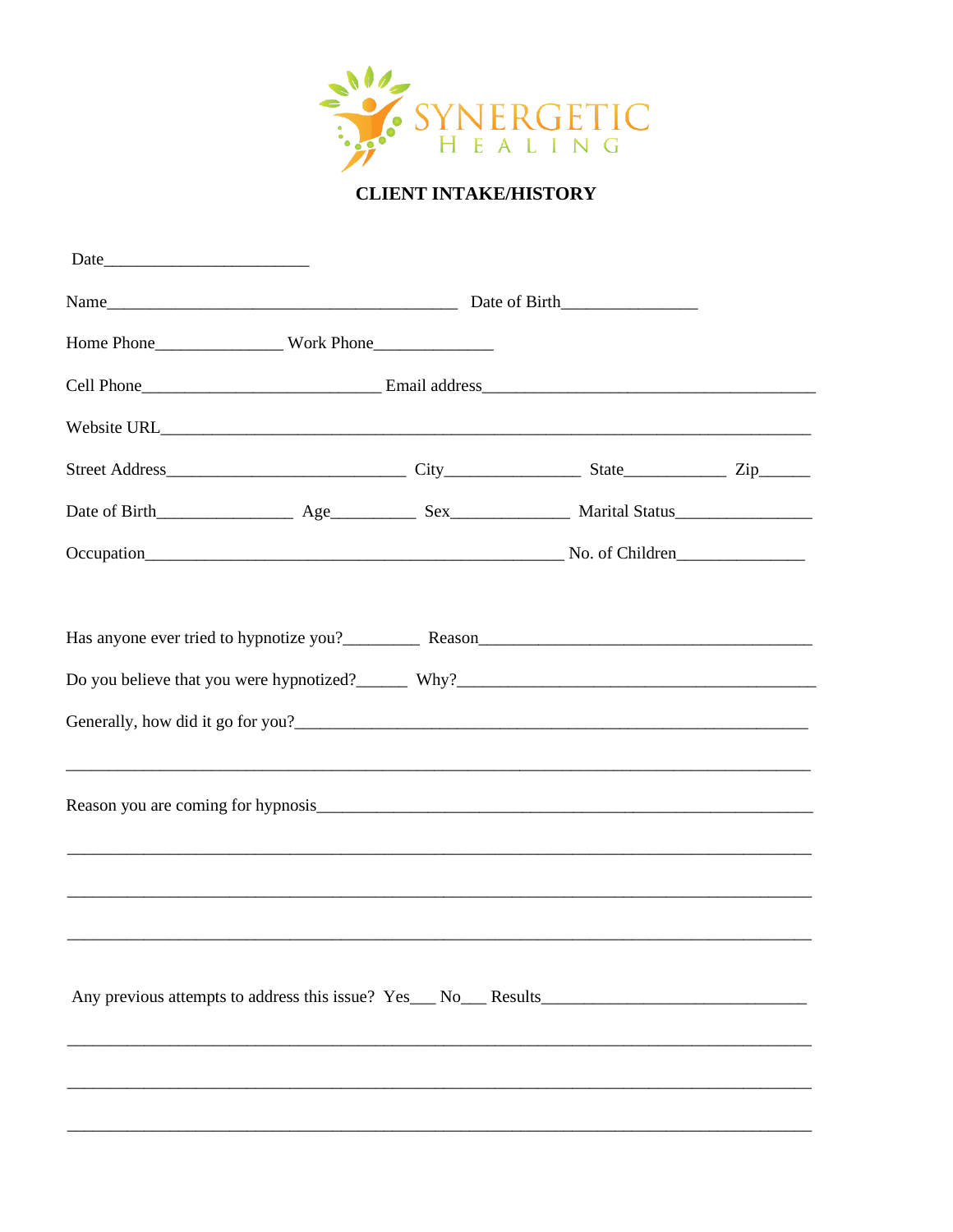

## **CLIENT INTAKE/HISTORY**

| Do you believe that you were hypnotized? Why? Why? |  |  |                                                                                                                       |  |
|----------------------------------------------------|--|--|-----------------------------------------------------------------------------------------------------------------------|--|
|                                                    |  |  |                                                                                                                       |  |
|                                                    |  |  | <u> 1989 - Johann Stoff, deutscher Stoff, der Stoff, der Stoff, der Stoff, der Stoff, der Stoff, der Stoff, der S</u> |  |
|                                                    |  |  |                                                                                                                       |  |
|                                                    |  |  |                                                                                                                       |  |
|                                                    |  |  | ,我们就会在这里的人,我们就会在这里的人,我们就会在这里的人,我们就会在这里,我们就会在这里的人,我们就会在这里,我们就会在这里的人,我们就会在这里的人,我们就                                      |  |
|                                                    |  |  |                                                                                                                       |  |
|                                                    |  |  |                                                                                                                       |  |
|                                                    |  |  |                                                                                                                       |  |
|                                                    |  |  |                                                                                                                       |  |
|                                                    |  |  |                                                                                                                       |  |
|                                                    |  |  |                                                                                                                       |  |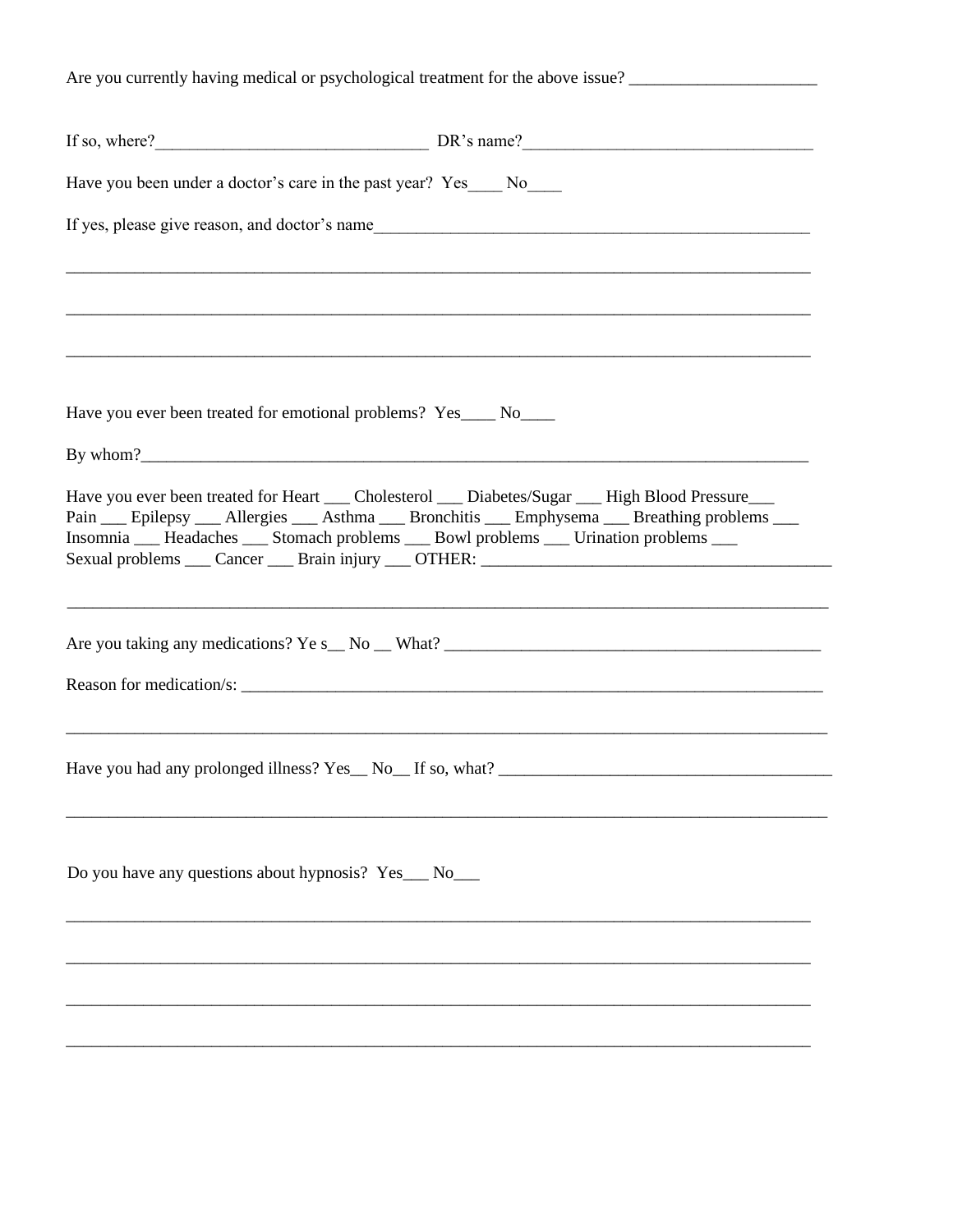Are you currently having medical or psychological treatment for the above issue? If so, where? DR's name? Have you been under a doctor's care in the past year? Yes No If yes, please give reason, and doctor's name Have you ever been treated for emotional problems? Yes \_\_\_\_\_ No\_\_\_\_\_ By whom? Have you ever been treated for Heart Cholesterol Diabetes/Sugar High Blood Pressure Pain \_\_ Epilepsy \_\_ Allergies \_\_ Asthma \_\_ Bronchitis \_\_ Emphysema \_\_ Breathing problems \_\_ Insomnia \_\_ Headaches \_\_ Stomach problems \_\_ Bowl problems \_\_ Urination problems \_\_ Sexual problems \_\_\_ Cancer \_\_\_ Brain injury \_\_\_ OTHER: \_\_\_\_\_\_\_\_\_\_\_\_\_\_\_\_\_\_\_\_\_\_\_\_\_\_ Are you taking any medications? Ye s No What? Reason for medication/s: \_\_\_\_\_\_ Do you have any questions about hypnosis? Yes\_\_ No\_\_